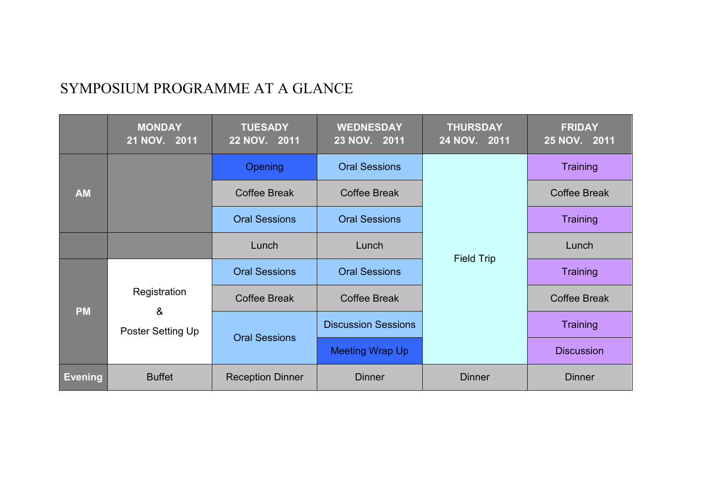## SYMPOSIUM PROGRAMME AT A GLANCE

|                | <b>MONDAY</b><br>21 NOV. 2011          | <b>TUESADY</b><br>22 NOV. 2011 | <b>WEDNESDAY</b><br>23 NOV. 2011 | <b>THURSDAY</b><br>24 NOV. 2011 | <b>FRIDAY</b><br>25 NOV. 2011 |
|----------------|----------------------------------------|--------------------------------|----------------------------------|---------------------------------|-------------------------------|
| <b>AM</b>      |                                        | <b>Opening</b>                 | <b>Oral Sessions</b>             |                                 | Training                      |
|                |                                        | <b>Coffee Break</b>            | <b>Coffee Break</b>              |                                 | <b>Coffee Break</b>           |
|                |                                        | <b>Oral Sessions</b>           | <b>Oral Sessions</b>             |                                 | <b>Training</b>               |
|                |                                        | Lunch                          | Lunch                            | <b>Field Trip</b>               | Lunch                         |
| <b>PM</b>      | Registration<br>&<br>Poster Setting Up | <b>Oral Sessions</b>           | <b>Oral Sessions</b>             |                                 | Training                      |
|                |                                        | Coffee Break                   |                                  |                                 | <b>Coffee Break</b>           |
|                |                                        | <b>Oral Sessions</b>           | <b>Discussion Sessions</b>       |                                 | <b>Training</b>               |
|                |                                        |                                | <b>Meeting Wrap Up</b>           |                                 | <b>Discussion</b>             |
| <b>Evening</b> | <b>Buffet</b>                          | <b>Reception Dinner</b>        | <b>Dinner</b>                    | <b>Dinner</b>                   | <b>Dinner</b>                 |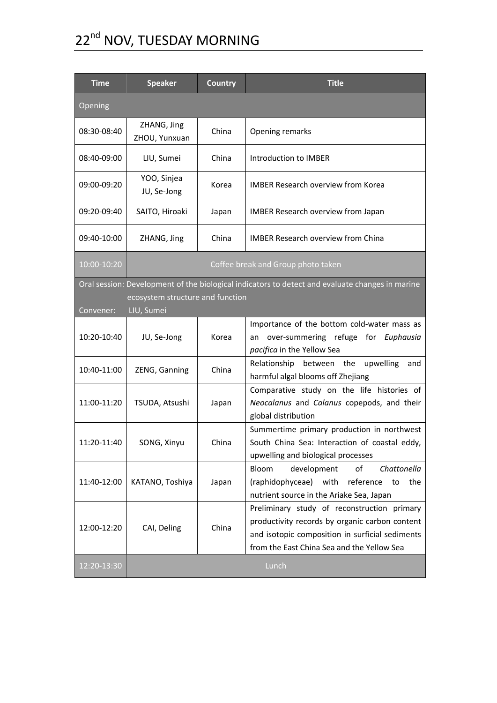# 22<sup>nd</sup> NOV, TUESDAY MORNING

| <b>Time</b> | <b>Speaker</b>                                 | <b>Country</b> | <b>Title</b>                                                                                                                                                                                   |  |
|-------------|------------------------------------------------|----------------|------------------------------------------------------------------------------------------------------------------------------------------------------------------------------------------------|--|
| Opening     |                                                |                |                                                                                                                                                                                                |  |
| 08:30-08:40 | ZHANG, Jing<br>ZHOU, Yunxuan                   | China          | Opening remarks                                                                                                                                                                                |  |
| 08:40-09:00 | LIU, Sumei                                     | China          | Introduction to IMBER                                                                                                                                                                          |  |
| 09:00-09:20 | YOO, Sinjea<br>JU, Se-Jong                     | Korea          | <b>IMBER Research overview from Korea</b>                                                                                                                                                      |  |
| 09:20-09:40 | SAITO, Hiroaki                                 | Japan          | <b>IMBER Research overview from Japan</b>                                                                                                                                                      |  |
| 09:40-10:00 | ZHANG, Jing                                    | China          | <b>IMBER Research overview from China</b>                                                                                                                                                      |  |
| 10:00-10:20 | Coffee break and Group photo taken             |                |                                                                                                                                                                                                |  |
|             |                                                |                | Oral session: Development of the biological indicators to detect and evaluate changes in marine                                                                                                |  |
| Convener:   | ecosystem structure and function<br>LIU, Sumei |                |                                                                                                                                                                                                |  |
| 10:20-10:40 | JU, Se-Jong                                    | Korea          | Importance of the bottom cold-water mass as<br>an over-summering refuge for Euphausia<br>pacifica in the Yellow Sea                                                                            |  |
| 10:40-11:00 | ZENG, Ganning                                  | China          | Relationship<br>between the<br>upwelling<br>and<br>harmful algal blooms off Zhejiang                                                                                                           |  |
| 11:00-11:20 | TSUDA, Atsushi                                 | Japan          | Comparative study on the life histories of<br>Neocalanus and Calanus copepods, and their<br>global distribution                                                                                |  |
| 11:20-11:40 | SONG, Xinyu                                    | China          | Summertime primary production in northwest<br>South China Sea: Interaction of coastal eddy,<br>upwelling and biological processes                                                              |  |
| 11:40-12:00 | KATANO, Toshiya                                | Japan          | Bloom<br>development<br>οf<br>Chattonella<br>(raphidophyceae)<br>with<br>reference<br>the<br>to<br>nutrient source in the Ariake Sea, Japan                                                    |  |
| 12:00-12:20 | CAI, Deling                                    | China          | Preliminary study of reconstruction primary<br>productivity records by organic carbon content<br>and isotopic composition in surficial sediments<br>from the East China Sea and the Yellow Sea |  |
| 12:20-13:30 |                                                |                | Lunch                                                                                                                                                                                          |  |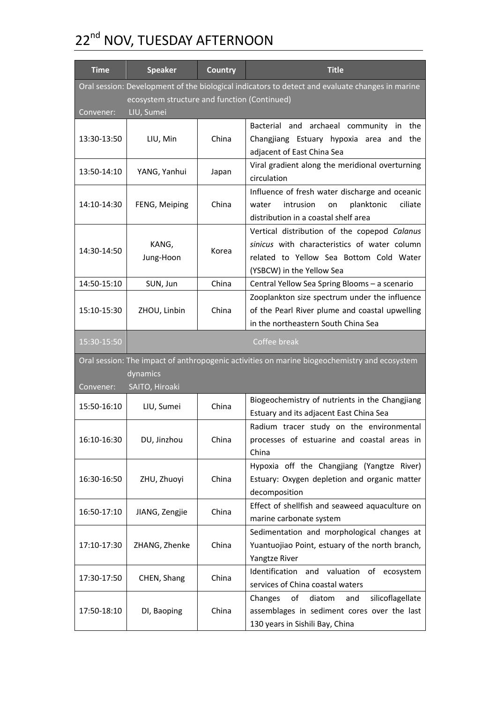# 22<sup>nd</sup> NOV, TUESDAY AFTERNOON

| <b>Time</b>                                                                                                                                     | <b>Speaker</b>                                                                                                             | <b>Country</b> | <b>Title</b>                                                                                                                                                         |  |  |
|-------------------------------------------------------------------------------------------------------------------------------------------------|----------------------------------------------------------------------------------------------------------------------------|----------------|----------------------------------------------------------------------------------------------------------------------------------------------------------------------|--|--|
| Oral session: Development of the biological indicators to detect and evaluate changes in marine<br>ecosystem structure and function (Continued) |                                                                                                                            |                |                                                                                                                                                                      |  |  |
| Convener:                                                                                                                                       | LIU, Sumei                                                                                                                 |                |                                                                                                                                                                      |  |  |
| 13:30-13:50                                                                                                                                     | LIU, Min                                                                                                                   | China          | Bacterial and archaeal community in the<br>Changjiang Estuary hypoxia area and<br>the<br>adjacent of East China Sea                                                  |  |  |
| 13:50-14:10                                                                                                                                     | YANG, Yanhui                                                                                                               | Japan          | Viral gradient along the meridional overturning<br>circulation                                                                                                       |  |  |
| 14:10-14:30                                                                                                                                     | FENG, Meiping                                                                                                              | China          | Influence of fresh water discharge and oceanic<br>ciliate<br>water<br>intrusion<br>planktonic<br>on<br>distribution in a coastal shelf area                          |  |  |
| 14:30-14:50                                                                                                                                     | KANG,<br>Jung-Hoon                                                                                                         | Korea          | Vertical distribution of the copepod Calanus<br>sinicus with characteristics of water column<br>related to Yellow Sea Bottom Cold Water<br>(YSBCW) in the Yellow Sea |  |  |
| 14:50-15:10                                                                                                                                     | SUN, Jun                                                                                                                   | China          | Central Yellow Sea Spring Blooms - a scenario                                                                                                                        |  |  |
| 15:10-15:30                                                                                                                                     | ZHOU, Linbin                                                                                                               | China          | Zooplankton size spectrum under the influence<br>of the Pearl River plume and coastal upwelling<br>in the northeastern South China Sea                               |  |  |
| 15:30-15:50                                                                                                                                     |                                                                                                                            |                | Coffee break                                                                                                                                                         |  |  |
| Convener:                                                                                                                                       | Oral session: The impact of anthropogenic activities on marine biogeochemistry and ecosystem<br>dynamics<br>SAITO, Hiroaki |                |                                                                                                                                                                      |  |  |
| 15:50-16:10                                                                                                                                     | LIU, Sumei                                                                                                                 | China          | Biogeochemistry of nutrients in the Changjiang<br>Estuary and its adjacent East China Sea                                                                            |  |  |
| 16:10-16:30                                                                                                                                     | DU, Jinzhou                                                                                                                | China          | Radium tracer study on the environmental<br>processes of estuarine and coastal areas in<br>China                                                                     |  |  |
| 16:30-16:50                                                                                                                                     | ZHU, Zhuoyi                                                                                                                | China          | Hypoxia off the Changjiang (Yangtze River)<br>Estuary: Oxygen depletion and organic matter<br>decomposition                                                          |  |  |
| 16:50-17:10                                                                                                                                     | JIANG, Zengjie                                                                                                             | China          | Effect of shellfish and seaweed aquaculture on<br>marine carbonate system                                                                                            |  |  |
| 17:10-17:30                                                                                                                                     | ZHANG, Zhenke                                                                                                              | China          | Sedimentation and morphological changes at<br>Yuantuojiao Point, estuary of the north branch,<br>Yangtze River                                                       |  |  |
| 17:30-17:50                                                                                                                                     | CHEN, Shang                                                                                                                | China          | Identification and valuation<br>of ecosystem<br>services of China coastal waters                                                                                     |  |  |
| 17:50-18:10                                                                                                                                     | DI, Baoping                                                                                                                | China          | of<br>silicoflagellate<br>Changes<br>diatom<br>and<br>assemblages in sediment cores over the last<br>130 years in Sishili Bay, China                                 |  |  |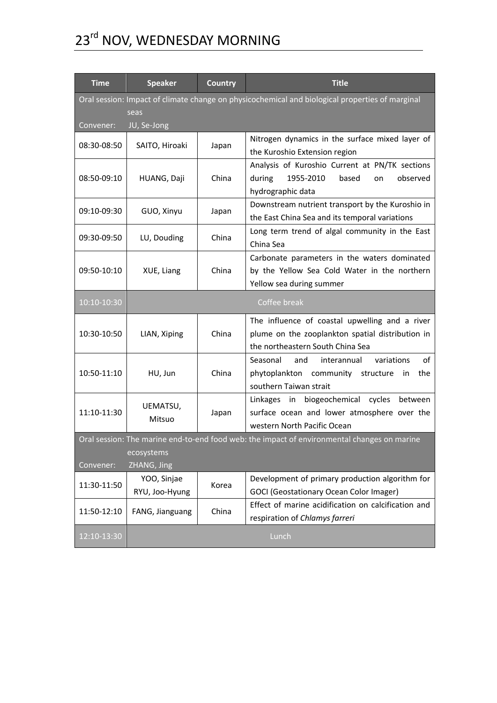# 23rd NOV, WEDNESDAY MORNING

| <b>Time</b>                                                                                               | <b>Speaker</b>                | <b>Country</b> | <b>Title</b>                                                                                                                           |  |  |
|-----------------------------------------------------------------------------------------------------------|-------------------------------|----------------|----------------------------------------------------------------------------------------------------------------------------------------|--|--|
| Oral session: Impact of climate change on physicochemical and biological properties of marginal           |                               |                |                                                                                                                                        |  |  |
| Convener:                                                                                                 | seas<br>JU, Se-Jong           |                |                                                                                                                                        |  |  |
| 08:30-08:50                                                                                               | SAITO, Hiroaki                | Japan          | Nitrogen dynamics in the surface mixed layer of<br>the Kuroshio Extension region                                                       |  |  |
| 08:50-09:10                                                                                               | HUANG, Daji                   | China          | Analysis of Kuroshio Current at PN/TK sections<br>during<br>1955-2010<br>based<br>observed<br>on<br>hydrographic data                  |  |  |
| 09:10-09:30                                                                                               | GUO, Xinyu                    | Japan          | Downstream nutrient transport by the Kuroshio in<br>the East China Sea and its temporal variations                                     |  |  |
| 09:30-09:50                                                                                               | LU, Douding                   | China          | Long term trend of algal community in the East<br>China Sea                                                                            |  |  |
| 09:50-10:10                                                                                               | XUE, Liang                    | China          | Carbonate parameters in the waters dominated<br>by the Yellow Sea Cold Water in the northern<br>Yellow sea during summer               |  |  |
| 10:10-10:30                                                                                               | Coffee break                  |                |                                                                                                                                        |  |  |
| 10:30-10:50                                                                                               | LIAN, Xiping                  | China          | The influence of coastal upwelling and a river<br>plume on the zooplankton spatial distribution in<br>the northeastern South China Sea |  |  |
| 10:50-11:10                                                                                               | HU, Jun                       | China          | variations<br>οf<br>Seasonal<br>and<br>interannual<br>phytoplankton community structure<br>in<br>the<br>southern Taiwan strait         |  |  |
| 11:10-11:30                                                                                               | UEMATSU,<br>Mitsuo            | Japan          | biogeochemical cycles between<br>Linkages<br>in<br>surface ocean and lower atmosphere over the<br>western North Pacific Ocean          |  |  |
| Oral session: The marine end-to-end food web: the impact of environmental changes on marine<br>ecosystems |                               |                |                                                                                                                                        |  |  |
| ZHANG, Jing<br>Convener:                                                                                  |                               |                |                                                                                                                                        |  |  |
| 11:30-11:50                                                                                               | YOO, Sinjae<br>RYU, Joo-Hyung | Korea          | Development of primary production algorithm for<br><b>GOCI (Geostationary Ocean Color Imager)</b>                                      |  |  |
| 11:50-12:10                                                                                               | FANG, Jianguang               | China          | Effect of marine acidification on calcification and<br>respiration of Chlamys farreri                                                  |  |  |
| 12:10-13:30                                                                                               |                               |                | Lunch                                                                                                                                  |  |  |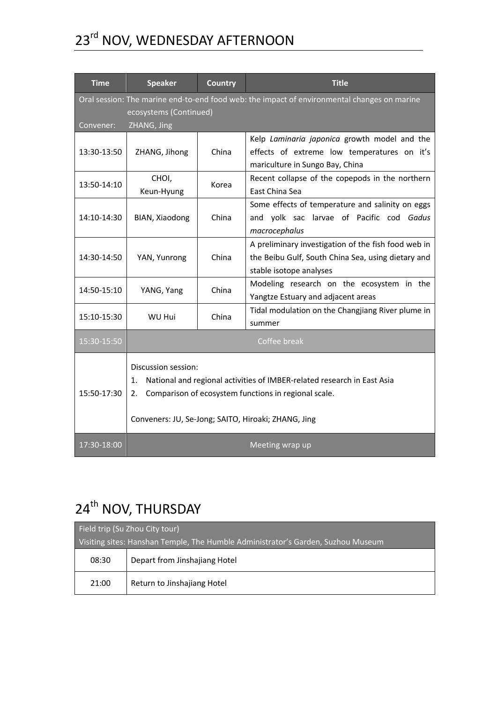## 23rd NOV, WEDNESDAY AFTERNOON

| <b>Time</b> | <b>Speaker</b>                                                                                                                                                                                                            | <b>Country</b> | <b>Title</b>                                                                                                                         |  |
|-------------|---------------------------------------------------------------------------------------------------------------------------------------------------------------------------------------------------------------------------|----------------|--------------------------------------------------------------------------------------------------------------------------------------|--|
| Convener:   | Oral session: The marine end-to-end food web: the impact of environmental changes on marine<br>ecosystems (Continued)<br>ZHANG, Jing                                                                                      |                |                                                                                                                                      |  |
| 13:30-13:50 | ZHANG, Jihong                                                                                                                                                                                                             | China          | Kelp Laminaria japonica growth model and the<br>effects of extreme low temperatures on it's<br>mariculture in Sungo Bay, China       |  |
| 13:50-14:10 | CHOI,<br>Keun-Hyung                                                                                                                                                                                                       | Korea          | Recent collapse of the copepods in the northern<br>East China Sea                                                                    |  |
| 14:10-14:30 | BIAN, Xiaodong                                                                                                                                                                                                            | China          | Some effects of temperature and salinity on eggs<br>and yolk sac larvae of Pacific cod Gadus<br>macrocephalus                        |  |
| 14:30-14:50 | YAN, Yunrong                                                                                                                                                                                                              | China          | A preliminary investigation of the fish food web in<br>the Beibu Gulf, South China Sea, using dietary and<br>stable isotope analyses |  |
| 14:50-15:10 | YANG, Yang                                                                                                                                                                                                                | China          | Modeling research on the ecosystem in the<br>Yangtze Estuary and adjacent areas                                                      |  |
| 15:10-15:30 | WU Hui                                                                                                                                                                                                                    | China          | Tidal modulation on the Changjiang River plume in<br>summer                                                                          |  |
| 15:30-15:50 | Coffee break                                                                                                                                                                                                              |                |                                                                                                                                      |  |
| 15:50-17:30 | Discussion session:<br>National and regional activities of IMBER-related research in East Asia<br>1.<br>Comparison of ecosystem functions in regional scale.<br>2.<br>Conveners: JU, Se-Jong; SAITO, Hiroaki; ZHANG, Jing |                |                                                                                                                                      |  |
| 17:30-18:00 | Meeting wrap up                                                                                                                                                                                                           |                |                                                                                                                                      |  |

## 24<sup>th</sup> NOV, THURSDAY

| Field trip (Su Zhou City tour)                                                   |                               |  |  |
|----------------------------------------------------------------------------------|-------------------------------|--|--|
| Visiting sites: Hanshan Temple, The Humble Administrator's Garden, Suzhou Museum |                               |  |  |
| 08:30                                                                            | Depart from Jinshajiang Hotel |  |  |
| 21:00                                                                            | Return to Jinshajiang Hotel   |  |  |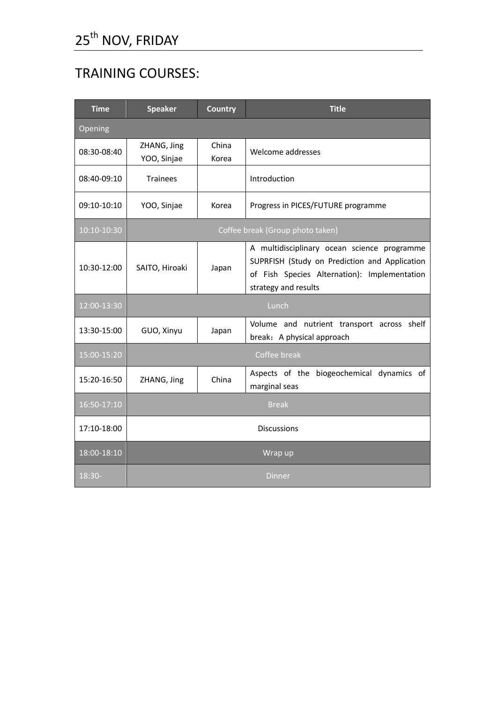## TRAINING COURSES:

| <b>Time</b> | <b>Speaker</b>                   | Country        | <b>Title</b>                                                                                                                                                         |
|-------------|----------------------------------|----------------|----------------------------------------------------------------------------------------------------------------------------------------------------------------------|
| Opening     |                                  |                |                                                                                                                                                                      |
| 08:30-08:40 | ZHANG, Jing<br>YOO, Sinjae       | China<br>Korea | Welcome addresses                                                                                                                                                    |
| 08:40-09:10 | <b>Trainees</b>                  |                | Introduction                                                                                                                                                         |
| 09:10-10:10 | YOO, Sinjae                      | Korea          | Progress in PICES/FUTURE programme                                                                                                                                   |
| 10:10-10:30 | Coffee break (Group photo taken) |                |                                                                                                                                                                      |
| 10:30-12:00 | SAITO, Hiroaki                   | Japan          | A multidisciplinary ocean science programme<br>SUPRFISH (Study on Prediction and Application<br>of Fish Species Alternation): Implementation<br>strategy and results |
| 12:00-13:30 | Lunch                            |                |                                                                                                                                                                      |
| 13:30-15:00 | GUO, Xinyu                       | Japan          | Volume and nutrient transport across shelf<br>break: A physical approach                                                                                             |
| 15:00-15:20 |                                  |                | Coffee break                                                                                                                                                         |
| 15:20-16:50 | ZHANG, Jing                      | China          | Aspects of the biogeochemical dynamics of<br>marginal seas                                                                                                           |
| 16:50-17:10 | <b>Break</b>                     |                |                                                                                                                                                                      |
| 17:10-18:00 | <b>Discussions</b>               |                |                                                                                                                                                                      |
| 18:00-18:10 | Wrap up                          |                |                                                                                                                                                                      |
| $18:30-$    | Dinner                           |                |                                                                                                                                                                      |